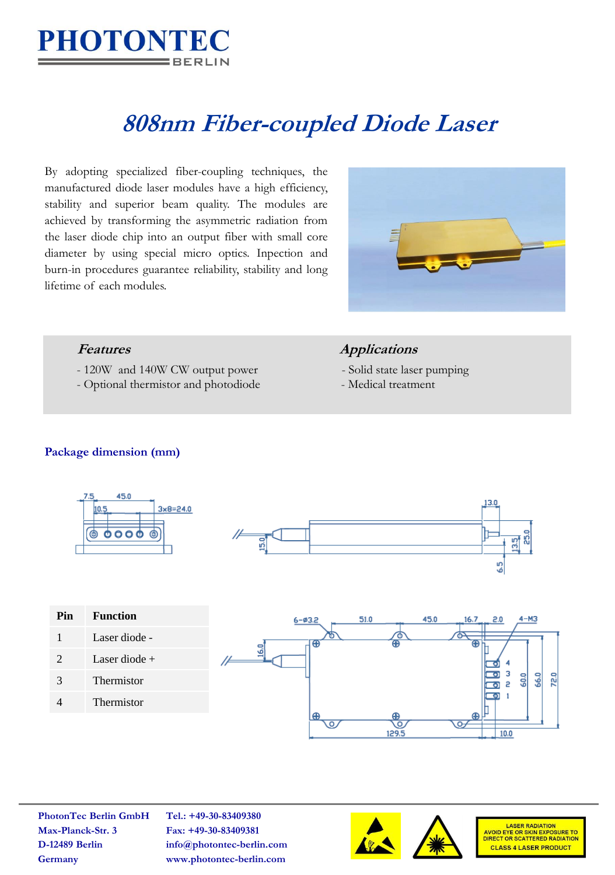

# **808nm Fiber-coupled Diode Laser**

By adopting specialized fiber-coupling techniques, the manufactured diode laser modules have a high efficiency, stability and superior beam quality. The modules are achieved by transforming the asymmetric radiation from the laser diode chip into an output fiber with small core diameter by using special micro optics. Inpection and burn-in procedures guarantee reliability, stability and long lifetime of each modules.



- 120W and 140W CW output power Solid state laser pumping
- Optional thermistor and photodiode Medical treatment

### **Features Applications**

- 
- 

#### **Package dimension (mm)**



| Pin                   | <b>Function</b> |  |  |
|-----------------------|-----------------|--|--|
| 1                     | Laser diode -   |  |  |
| $\mathcal{D}_{\cdot}$ | Laser diode $+$ |  |  |
| 3                     | Thermistor      |  |  |
|                       | Thermistor      |  |  |
|                       |                 |  |  |



**PhotonTec Berlin GmbH Tel.: +49-30-83409380 Max-Planck-Str. 3 Fax: +49-30-83409381**

**D-12489 Berlin info@photontec-berlin.com Germany www.photontec-berlin.com**





**LASER RADIATION** AVOID EYE OR SKIN EXPOSURE TO<br>DIRECT OR SCATTERED RADIATION **CLASS 4 LASER PRODUCT**